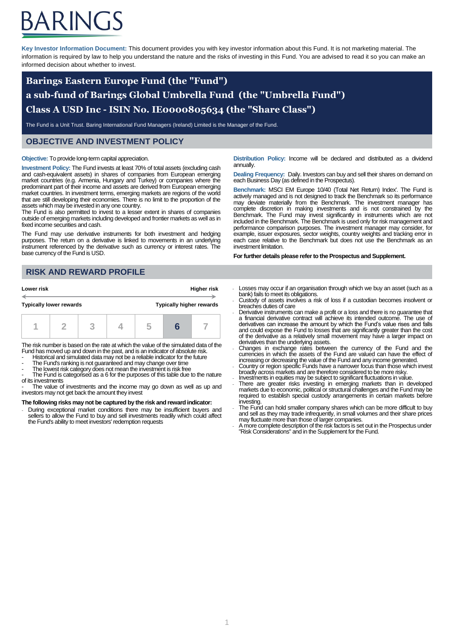# ARINGS

**Key Investor Information Document:** This document provides you with key investor information about this Fund. It is not marketing material. The information is required by law to help you understand the nature and the risks of investing in this Fund. You are advised to read it so you can make an informed decision about whether to invest.

## **Barings Eastern Europe Fund (the "Fund") a sub-fund of Barings Global Umbrella Fund (the "Umbrella Fund") Class A USD Inc - ISIN No. IE0000805634 (the "Share Class")**

The Fund is a Unit Trust. Baring International Fund Managers (Ireland) Limited is the Manager of the Fund.

## **OBJECTIVE AND INVESTMENT POLICY**

#### **Objective:** To provide long-term capital appreciation.

**Investment Policy:** The Fund invests at least 70% of total assets (excluding cash and cash-equivalent assets) in shares of companies from European emerging market countries (e.g. Armenia, Hungary and Turkey) or companies where the predominant part of their income and assets are derived from European emerging market countries. In investment terms, emerging markets are regions of the world that are still developing their economies. There is no limit to the proportion of the assets which may be invested in any one country.

The Fund is also permitted to invest to a lesser extent in shares of companies outside of emerging markets including developed and frontier markets as well as in fixed income securities and cash.

The Fund may use derivative instruments for both investment and hedging purposes. The return on a derivative is linked to movements in an underlying instrument referenced by the derivative such as currency or interest rates. The base currency of the Fund is USD.

## **RISK AND REWARD PROFILE**

| Lower risk                     |  | Higher risk |                                 |  |
|--------------------------------|--|-------------|---------------------------------|--|
| <b>Typically lower rewards</b> |  |             | <b>Typically higher rewards</b> |  |
|                                |  |             |                                 |  |

The risk number is based on the rate at which the value of the simulated data of the Fund has moved up and down in the past, and is an indicator of absolute risk.

- Historical and simulated data may not be a reliable indicator for the future
- The Fund's ranking is not guaranteed and may change over time The lowest risk category does not mean the investment is risk free

The Fund is categorised as a 6 for the purposes of this table due to the nature of its investments

- The value of investments and the income may go down as well as up and investors may not get back the amount they invest

#### **The following risks may not be captured by the risk and reward indicator:**

- During exceptional market conditions there may be insufficient buyers and sellers to allow the Fund to buy and sell investments readily which could affect the Fund's ability to meet investors' redemption requests

**Distribution Policy:** Income will be declared and distributed as a dividend annually.

**Dealing Frequency:** Daily. Investors can buy and sell their shares on demand on each Business Day (as defined in the Prospectus).

**Benchmark:** MSCI EM Europe 10/40 (Total Net Return) Index'. The Fund is actively managed and is not designed to track the Benchmark so its performance may deviate materially from the Benchmark. The investment manager has complete discretion in making investments and is not constrained by the Benchmark. The Fund may invest significantly in instruments which are not included in the Benchmark. The Benchmark is used only for risk management and performance comparison purposes. The investment manager may consider, for example, issuer exposures, sector weights, country weights and tracking error in each case relative to the Benchmark but does not use the Benchmark as an investment limitation.

**For further details please refer to the Prospectus and Supplement.**

- Losses may occur if an organisation through which we buy an asset (such as a bank) fails to meet its obligations.
- Custody of assets involves a risk of loss if a custodian becomes insolvent or breaches duties of care
- Derivative instruments can make a profit or a loss and there is no guarantee that a financial derivative contract will achieve its intended outcome. The use of derivatives can increase the amount by which the Fund's value rises and falls and could expose the Fund to losses that are significantly greater than the cost of the derivative as a relatively small movement may have a larger impact on derivatives than the underlying assets.
- Changes in exchange rates between the currency of the Fund and the currencies in which the assets of the Fund are valued can have the effect of
- increasing or decreasing the value of the Fund and any income generated. Country or region specific Funds have a narrower focus than those which invest broadly across markets and are therefore considered to be more risky.
- Investments in equities may be subject to significant fluctuations in value.
- There are greater risks investing in emerging markets than in developed markets due to economic, political or structural challenges and the Fund may be required to establish special custody arrangements in certain markets before investing.
- The Fund can hold smaller company shares which can be more difficult to buy and sell as they may trade infrequently, in small volumes and their share prices may fluctuate more than those of larger companies.
- A more complete description of the risk factors is set out in the Prospectus under "Risk Considerations" and in the Supplement for the Fund.